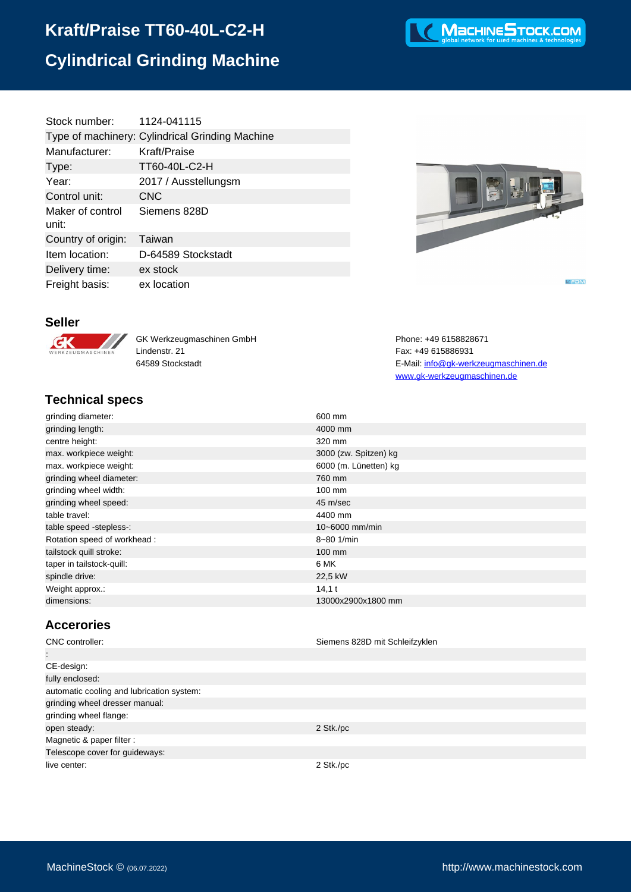# **Kraft/Praise TT60-40L-C2-H Cylindrical Grinding Machine**

| 1124-041115                                     |
|-------------------------------------------------|
| Type of machinery: Cylindrical Grinding Machine |
| Kraft/Praise                                    |
| TT60-40L-C2-H                                   |
| 2017 / Ausstellungsm                            |
| <b>CNC</b>                                      |
| Siemens 828D                                    |
| Taiwan                                          |
| D-64589 Stockstadt                              |
| ex stock                                        |
| ex location                                     |
|                                                 |



**KEDM** 

www.gk-werkzeugmaschinen.de

#### **Seller**



GK Werkzeugmaschinen GmbH Phone: +49 6158828671 Lindenstr. 21 Fax: +49 615886931 64589 Stockstadt E-Mail: [info@gk-werkzeugmaschinen.de](mailto:info@gk-werkzeugmaschinen.de)

### **Technical specs**

| 600 mm                |
|-----------------------|
| 4000 mm               |
| 320 mm                |
| 3000 (zw. Spitzen) kg |
| 6000 (m. Lünetten) kg |
| 760 mm                |
| 100 mm                |
| 45 m/sec              |
| 4400 mm               |
| $10 - 6000$ mm/min    |
| 8~80 1/min            |
| $100 \text{ mm}$      |
| 6 MK                  |
| 22,5 kW               |
| $14,1$ t              |
| 13000x2900x1800 mm    |
|                       |

### **Accerories**

| CNC controller:                           | Siemens 828D mit Schleifzyklen |
|-------------------------------------------|--------------------------------|
| ÷                                         |                                |
| CE-design:                                |                                |
| fully enclosed:                           |                                |
| automatic cooling and lubrication system: |                                |
| grinding wheel dresser manual:            |                                |
| grinding wheel flange:                    |                                |
| open steady:                              | 2 Stk./pc                      |
| Magnetic & paper filter :                 |                                |
| Telescope cover for guideways:            |                                |
| live center:                              | 2 Stk./pc                      |